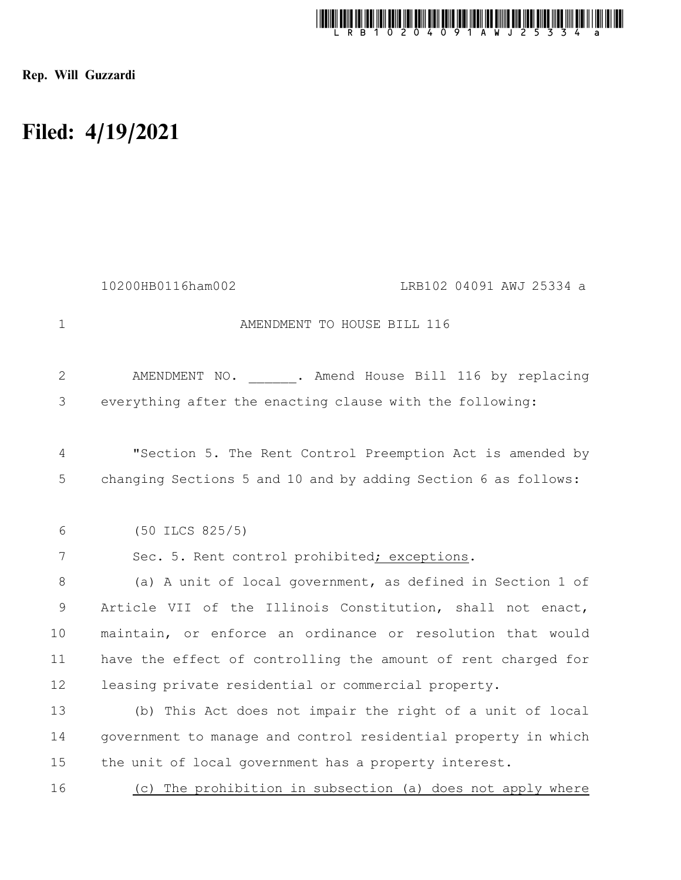

Rep. Will Guzzardi

## Filed: 4/19/2021

|              | 10200HB0116ham002<br>LRB102 04091 AWJ 25334 a                  |
|--------------|----------------------------------------------------------------|
| $\mathbf{1}$ | AMENDMENT TO HOUSE BILL 116                                    |
| 2            | AMENDMENT NO. . Amend House Bill 116 by replacing              |
| 3            | everything after the enacting clause with the following:       |
| 4            | "Section 5. The Rent Control Preemption Act is amended by      |
| 5            | changing Sections 5 and 10 and by adding Section 6 as follows: |
| 6            | $(50$ ILCS $825/5)$                                            |
| 7            | Sec. 5. Rent control prohibited; exceptions.                   |
| 8            | (a) A unit of local government, as defined in Section 1 of     |
| 9            | Article VII of the Illinois Constitution, shall not enact,     |
| 10           | maintain, or enforce an ordinance or resolution that would     |
| 11           | have the effect of controlling the amount of rent charged for  |
| 12           | leasing private residential or commercial property.            |
| 13           | (b) This Act does not impair the right of a unit of local      |
| 14           | government to manage and control residential property in which |
| 15           | the unit of local government has a property interest.          |
| 16           | The prohibition in subsection (a) does not apply where<br>(C)  |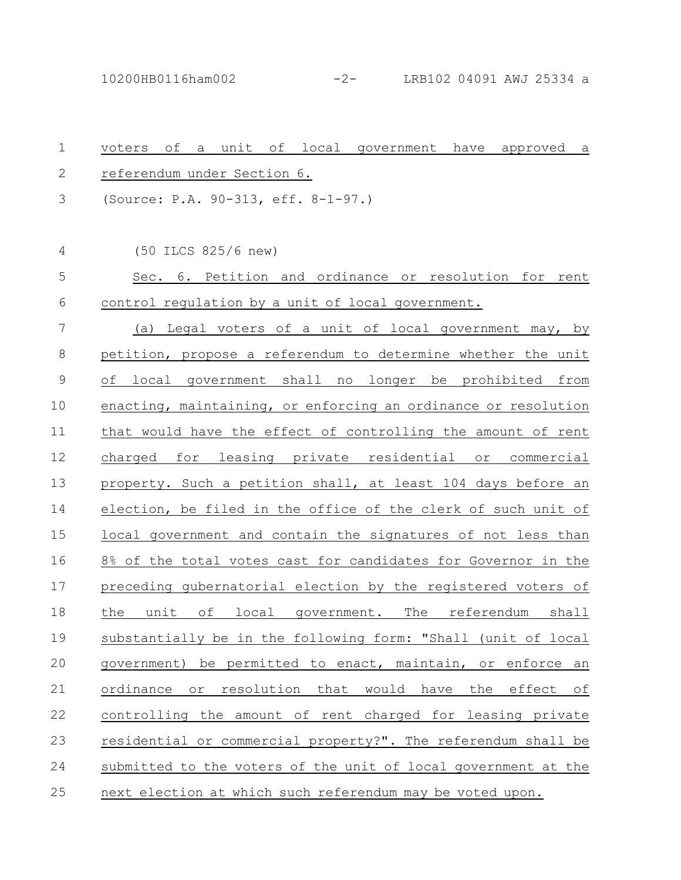10200HB0116ham002 -2- LRB102 04091 AWJ 25334 a

| $\mathbf 1$    | unit of local government have approved<br>оf<br>voters<br>a<br>a        |
|----------------|-------------------------------------------------------------------------|
| $\mathbf{2}$   | referendum under Section 6.                                             |
| 3              | (Source: P.A. 90-313, eff. 8-1-97.)                                     |
| $\overline{4}$ | (50 ILCS 825/6 new)                                                     |
| 5              | Sec. 6. Petition and ordinance or resolution for rent                   |
| 6              | control regulation by a unit of local government.                       |
| 7              | (a) Legal voters of a unit of local government may, by                  |
| $8\,$          | petition, propose a referendum to determine whether the unit            |
| $\mathsf 9$    | of local government shall no longer be prohibited from                  |
| 10             | enacting, maintaining, or enforcing an ordinance or resolution          |
| 11             | that would have the effect of controlling the amount of rent            |
| 12             | charged for leasing private residential or<br>commercial                |
| 13             | property. Such a petition shall, at least 104 days before an            |
| 14             | election, be filed in the office of the clerk of such unit of           |
| 15             | local government and contain the signatures of not less than            |
| 16             | 8% of the total votes cast for candidates for Governor in the           |
| 17             | preceding qubernatorial election by the registered voters of            |
| 18             | the unit of local government. The referendum shall                      |
| 19             | substantially be in the following form: "Shall (unit of local           |
| 20             | government) be permitted to enact, maintain, or enforce an              |
| 21             | resolution<br>ordinance or<br>that<br>would have<br>the<br>effect<br>оf |
| 22             | controlling the amount of rent charged for leasing private              |
| 23             | residential or commercial property?". The referendum shall be           |
| 24             | submitted to the voters of the unit of local government at the          |
| 25             | next election at which such referendum may be voted upon.               |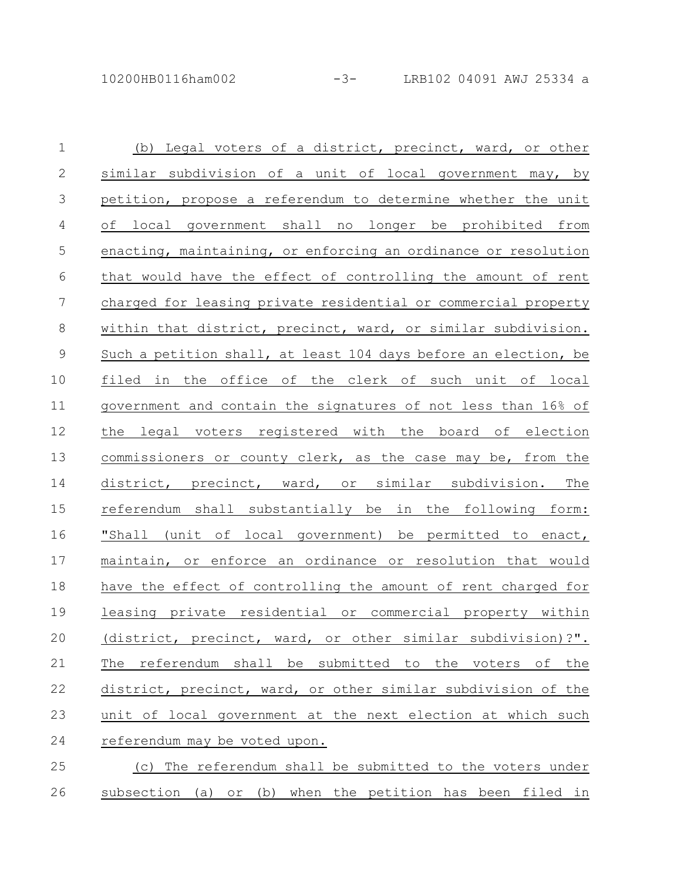| $\mathbf 1$     | (b) Legal voters of a district, precinct, ward, or other        |
|-----------------|-----------------------------------------------------------------|
| $\mathbf{2}$    | similar subdivision of a unit of local government may, by       |
| 3               | petition, propose a referendum to determine whether the unit    |
| $\overline{4}$  | of local government shall no longer be prohibited from          |
| 5               | enacting, maintaining, or enforcing an ordinance or resolution  |
| $6\,$           | that would have the effect of controlling the amount of rent    |
| $7\phantom{.0}$ | charged for leasing private residential or commercial property  |
| 8               | within that district, precinct, ward, or similar subdivision.   |
| $\mathsf 9$     | Such a petition shall, at least 104 days before an election, be |
| 10              | filed in the office of the clerk of such unit of local          |
| 11              | government and contain the signatures of not less than 16% of   |
| 12              | the legal voters registered with the board of election          |
| 13              | commissioners or county clerk, as the case may be, from the     |
| 14              | district, precinct, ward, or similar subdivision. The           |
| 15              | referendum shall substantially be in the following form:        |
| 16              | "Shall (unit of local government) be permitted to enact,        |
| 17              | maintain, or enforce an ordinance or resolution that would      |
| 18              | have the effect of controlling the amount of rent charged for   |
| 19              | leasing private residential or commercial property within       |
| 20              | (district, precinct, ward, or other similar subdivision)?".     |
| 21              | referendum shall be submitted to the voters<br>the<br>The<br>оf |
| 22              | district, precinct, ward, or other similar subdivision of the   |
| 23              | unit of local government at the next election at which such     |
| 24              | referendum may be voted upon.                                   |
| 25              | (c) The referendum shall be submitted to the voters under       |

26 subsection (a) or (b) when the petition has been filed in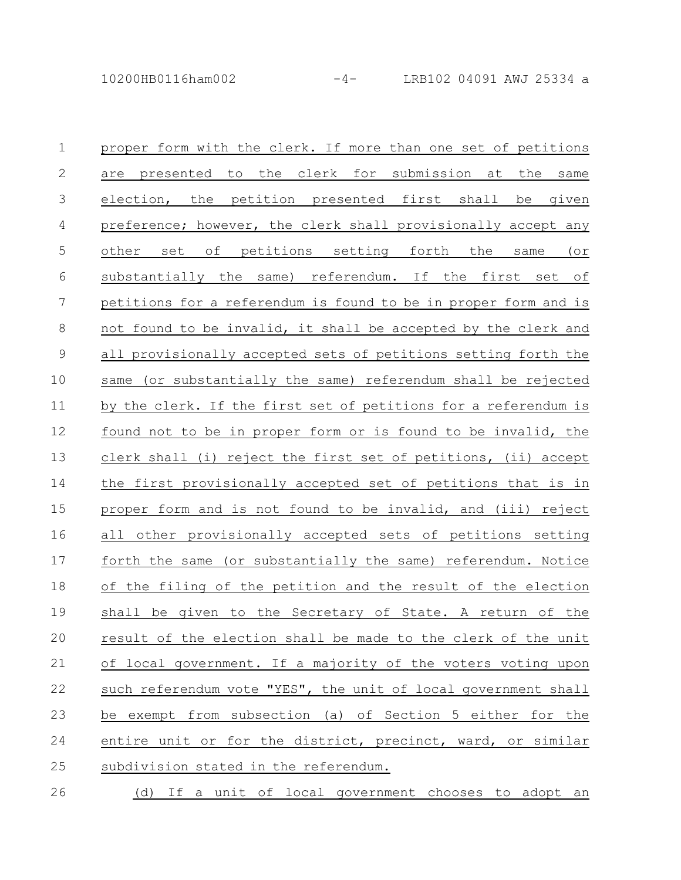| $\mathbf{1}$    | proper form with the clerk. If more than one set of petitions   |
|-----------------|-----------------------------------------------------------------|
| 2               | are presented to the clerk for submission at the same           |
| $\mathcal{S}$   | election, the petition presented first shall be given           |
| $\overline{4}$  | preference; however, the clerk shall provisionally accept any   |
| $\overline{5}$  | other set of petitions setting forth the same (or               |
| $6\,$           | substantially the same) referendum. If the first set of         |
| $7\overline{ }$ | petitions for a referendum is found to be in proper form and is |
| $8\,$           | not found to be invalid, it shall be accepted by the clerk and  |
| $\mathcal{G}$   | all provisionally accepted sets of petitions setting forth the  |
| 10              | same (or substantially the same) referendum shall be rejected   |
| 11              | by the clerk. If the first set of petitions for a referendum is |
| 12              | found not to be in proper form or is found to be invalid, the   |
| 13              | clerk shall (i) reject the first set of petitions, (ii) accept  |
| 14              | the first provisionally accepted set of petitions that is in    |
| 15              | proper form and is not found to be invalid, and (iii) reject    |
| 16              | all other provisionally accepted sets of petitions setting      |
| 17              | forth the same (or substantially the same) referendum. Notice   |
| 18              | of the filing of the petition and the result of the election    |
| 19              | shall be given to the Secretary of State. A return of the       |
| 20              | result of the election shall be made to the clerk of the unit   |
| 21              | of local government. If a majority of the voters voting upon    |
| 22              | such referendum vote "YES", the unit of local government shall  |
|                 |                                                                 |

entire unit or for the district, precinct, ward, or similar 24

be exempt from subsection (a) of Section 5 either for the

subdivision stated in the referendum. 25

23

(d) If a unit of local government chooses to adopt an 26